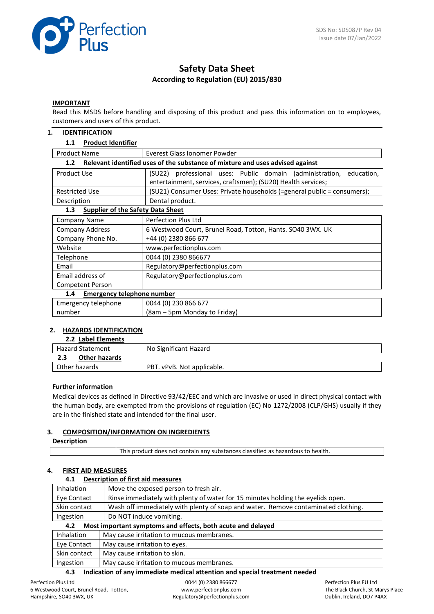

# **Safety Data Sheet According to Regulation (EU) 2015/830**

#### **IMPORTANT**

Read this MSDS before handling and disposing of this product and pass this information on to employees, customers and users of this product.

#### **1. IDENTIFICATION**

#### **1.1 Product Identifier**

| <b>Product Name</b>                                                                               | Everest Glass Jonomer Powder                                                                                                           |  |
|---------------------------------------------------------------------------------------------------|----------------------------------------------------------------------------------------------------------------------------------------|--|
| Relevant identified uses of the substance of mixture and uses advised against<br>1.2 <sub>2</sub> |                                                                                                                                        |  |
| Product Use                                                                                       | (SU22) professional uses: Public domain (administration,<br>education,<br>entertainment, services, craftsmen); (SU20) Health services; |  |
| <b>Restricted Use</b>                                                                             | (SU21) Consumer Uses: Private households (=general public = consumers);                                                                |  |
| Description                                                                                       | Dental product.                                                                                                                        |  |
| <b>Supplier of the Safety Data Sheet</b><br>1.3                                                   |                                                                                                                                        |  |
| <b>Company Name</b>                                                                               | Perfection Plus Ltd                                                                                                                    |  |
| <b>Company Address</b>                                                                            | 6 Westwood Court, Brunel Road, Totton, Hants. SO40 3WX. UK                                                                             |  |
| Company Phone No.                                                                                 | +44 (0) 2380 866 677                                                                                                                   |  |
| Website                                                                                           | www.perfectionplus.com                                                                                                                 |  |
| Telephone                                                                                         | 0044 (0) 2380 866677                                                                                                                   |  |
| Email                                                                                             | Regulatory@perfectionplus.com                                                                                                          |  |
| Email address of                                                                                  | Regulatory@perfectionplus.com                                                                                                          |  |
| <b>Competent Person</b>                                                                           |                                                                                                                                        |  |
| <b>Emergency telephone number</b><br>1.4                                                          |                                                                                                                                        |  |
| Emergency telephone                                                                               | 0044 (0) 230 866 677                                                                                                                   |  |
| number                                                                                            | (8am – 5pm Monday to Friday)                                                                                                           |  |

#### **2. HAZARDS IDENTIFICATION**

#### **2.2 Label Elements**

| --- ----------------        |                            |
|-----------------------------|----------------------------|
| <b>Hazard Statement</b>     | No Significant Hazard      |
| <b>Other hazards</b><br>2.3 |                            |
| Other hazards               | PBT. vPvB. Not applicable. |

#### **Further information**

Medical devices as defined in Directive 93/42/EEC and which are invasive or used in direct physical contact with the human body, are exempted from the provisions of regulation (EC) No 1272/2008 (CLP/GHS) usually if they are in the finished state and intended for the final user.

#### **3. COMPOSITION/INFORMATION ON INGREDIENTS**

#### **Description**

This product does not contain any substances classified as hazardous to health.

#### **4. FIRST AID MEASURES**

# **4.1 Description of first aid measures** Inhalation  $\blacksquare$  Move the exposed person to fresh air. Eye Contact  $\parallel$  Rinse immediately with plenty of water for 15 minutes holding the eyelids open. Skin contact | Wash off immediately with plenty of soap and water. Remove contaminated clothing. Ingestion | Do NOT induce vomiting. **4.2 Most important symptoms and effects, both acute and delayed** Inhalation | May cause irritation to mucous membranes. Eye Contact  $\parallel$  May cause irritation to eyes. Skin contact  $\parallel$  May cause irritation to skin.

# Ingestion | May cause irritation to mucous membranes.

# **4.3 Indication of any immediate medical attention and special treatment needed**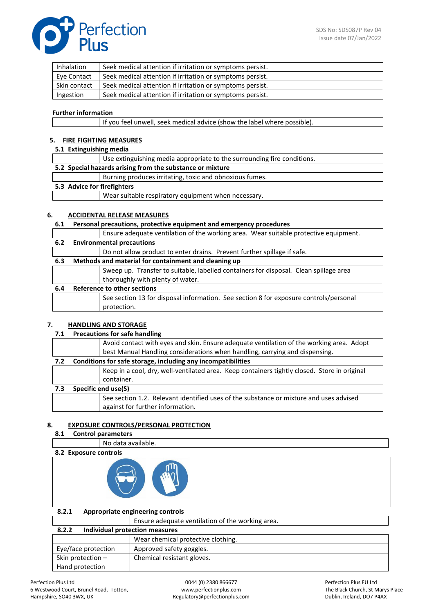

| Inhalation   | Seek medical attention if irritation or symptoms persist. |
|--------------|-----------------------------------------------------------|
| Eye Contact  | Seek medical attention if irritation or symptoms persist. |
| Skin contact | Seek medical attention if irritation or symptoms persist. |
| Ingestion    | Seek medical attention if irritation or symptoms persist. |

#### **Further information**

|  | If you feel unwell, seek medical advice (show the label where possible). |  |
|--|--------------------------------------------------------------------------|--|
|  |                                                                          |  |

# **5. FIRE FIGHTING MEASURES**

# **5.1 Extinguishing media**

|                                                           | Use extinguishing media appropriate to the surrounding fire conditions. |  |
|-----------------------------------------------------------|-------------------------------------------------------------------------|--|
| 5.2 Special hazards arising from the substance or mixture |                                                                         |  |
|                                                           | Burning produces irritating, toxic and obnoxious fumes.                 |  |
| 5.3 Advice for firefighters                               |                                                                         |  |
|                                                           | Wear suitable respiratory equipment when necessary.                     |  |
|                                                           |                                                                         |  |

## **6. ACCIDENTAL RELEASE MEASURES**

## **6.1 Personal precautions, protective equipment and emergency procedures**

|                                                             | Ensure adequate ventilation of the working area. Wear suitable protective equipment.  |
|-------------------------------------------------------------|---------------------------------------------------------------------------------------|
| <b>Environmental precautions</b>                            |                                                                                       |
|                                                             | Do not allow product to enter drains. Prevent further spillage if safe.               |
| Methods and material for containment and cleaning up<br>6.3 |                                                                                       |
|                                                             | Sweep up. Transfer to suitable, labelled containers for disposal. Clean spillage area |
|                                                             | thoroughly with plenty of water.                                                      |
| Reference to other sections<br>6.4                          |                                                                                       |
|                                                             | See section 13 for disposal information. See section 8 for exposure controls/personal |
|                                                             | protection.                                                                           |
|                                                             |                                                                                       |

## **7. HANDLING AND STORAGE**

#### **7.1 Precautions for safe handling**

|     |                                                              | Avoid contact with eyes and skin. Ensure adequate ventilation of the working area. Adopt<br>best Manual Handling considerations when handling, carrying and dispensing. |
|-----|--------------------------------------------------------------|-------------------------------------------------------------------------------------------------------------------------------------------------------------------------|
| 7.2 | Conditions for safe storage, including any incompatibilities |                                                                                                                                                                         |
|     |                                                              | Keep in a cool, dry, well-ventilated area. Keep containers tightly closed. Store in original                                                                            |
|     |                                                              | container.                                                                                                                                                              |
| 7.3 | Specific end use(S)                                          |                                                                                                                                                                         |
|     |                                                              | See section 1.2. Relevant identified uses of the substance or mixture and uses advised                                                                                  |
|     |                                                              | against for further information.                                                                                                                                        |

## **8. EXPOSURE CONTROLS/PERSONAL PROTECTION**

# **8.1 Control parameters**

No data available.



| 8.2.1                                   | Appropriate engineering controls                 |  |
|-----------------------------------------|--------------------------------------------------|--|
|                                         | Ensure adequate ventilation of the working area. |  |
| Individual protection measures<br>8.2.2 |                                                  |  |
|                                         | Wear chemical protective clothing.               |  |
| Eye/face protection                     | Approved safety goggles.                         |  |
| Skin protection -                       | Chemical resistant gloves.                       |  |
| Hand protection                         |                                                  |  |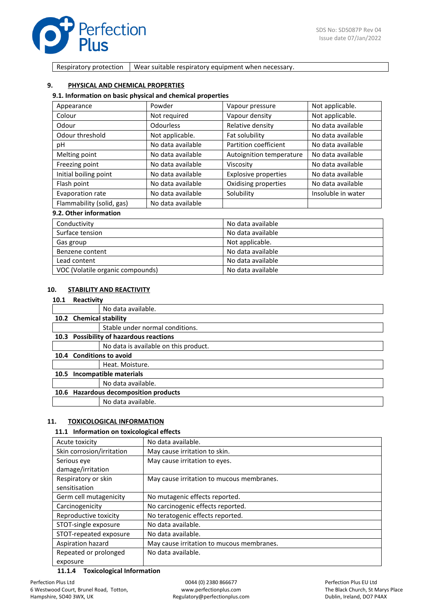

Respiratory protection  $\vert$  Wear suitable respiratory equipment when necessary.

#### **9. PHYSICAL AND CHEMICAL PROPERTIES**

#### **9.1. Information on basic physical and chemical properties**

| Appearance                | Powder            | Vapour pressure             | Not applicable.    |
|---------------------------|-------------------|-----------------------------|--------------------|
| Colour                    | Not required      | Vapour density              | Not applicable.    |
| Odour                     | Odourless         | Relative density            | No data available  |
| Odour threshold           | Not applicable.   | Fat solubility              | No data available  |
| рH                        | No data available | Partition coefficient       | No data available  |
| Melting point             | No data available | Autoignition temperature    | No data available  |
| Freezing point            | No data available | Viscosity                   | No data available  |
| Initial boiling point     | No data available | <b>Explosive properties</b> | No data available  |
| Flash point               | No data available | Oxidising properties        | No data available  |
| Evaporation rate          | No data available | Solubility                  | Insoluble in water |
| Flammability (solid, gas) | No data available |                             |                    |
| 9.2. Other information    |                   |                             |                    |

#### . Other informatio

| Conductivity                     | No data available |
|----------------------------------|-------------------|
| Surface tension                  | No data available |
| Gas group                        | Not applicable.   |
| Benzene content                  | No data available |
| Lead content                     | No data available |
| VOC (Volatile organic compounds) | No data available |

#### **10. STABILITY AND REACTIVITY**

#### **10.1 Reactivity**

|      | .                                       |                                       |  |
|------|-----------------------------------------|---------------------------------------|--|
|      |                                         | No data available.                    |  |
|      | 10.2 Chemical stability                 |                                       |  |
|      |                                         | Stable under normal conditions.       |  |
|      | 10.3 Possibility of hazardous reactions |                                       |  |
|      |                                         | No data is available on this product. |  |
|      |                                         | 10.4 Conditions to avoid              |  |
|      |                                         | Heat. Moisture.                       |  |
| 10.5 | Incompatible materials                  |                                       |  |
|      |                                         | No data available.                    |  |
|      | 10.6 Hazardous decomposition products   |                                       |  |
|      |                                         | No data available.                    |  |
|      |                                         |                                       |  |

#### **11. TOXICOLOGICAL INFORMATION**

#### **11.1 Information on toxicological effects**

| Acute toxicity            | No data available.                        |  |
|---------------------------|-------------------------------------------|--|
| Skin corrosion/irritation | May cause irritation to skin.             |  |
| Serious eye               | May cause irritation to eyes.             |  |
| damage/irritation         |                                           |  |
| Respiratory or skin       | May cause irritation to mucous membranes. |  |
| sensitisation             |                                           |  |
| Germ cell mutagenicity    | No mutagenic effects reported.            |  |
| Carcinogenicity           | No carcinogenic effects reported.         |  |
| Reproductive toxicity     | No teratogenic effects reported.          |  |
| STOT-single exposure      | No data available.                        |  |
| STOT-repeated exposure    | No data available.                        |  |
| Aspiration hazard         | May cause irritation to mucous membranes. |  |
| Repeated or prolonged     | No data available.                        |  |
| exposure                  |                                           |  |

#### **11.1.4 Toxicological Information**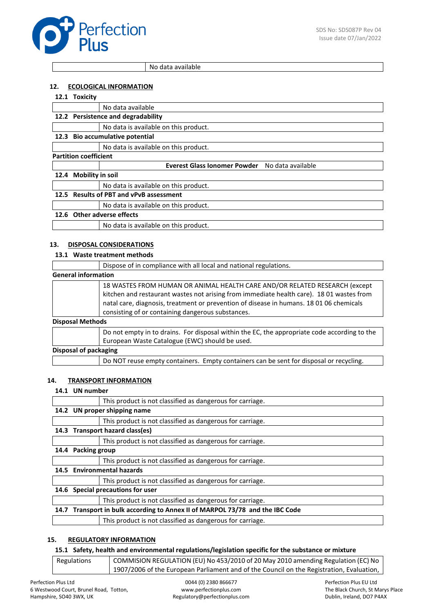

No data available

## **12. ECOLOGICAL INFORMATION**

## **12.1 Toxicity**

|                              | .                                       |                                                          |  |
|------------------------------|-----------------------------------------|----------------------------------------------------------|--|
|                              |                                         | No data available                                        |  |
|                              |                                         | 12.2 Persistence and degradability                       |  |
|                              |                                         | No data is available on this product.                    |  |
| 12.3                         | <b>Bio accumulative potential</b>       |                                                          |  |
|                              |                                         | No data is available on this product.                    |  |
| <b>Partition coefficient</b> |                                         |                                                          |  |
|                              |                                         | <b>Everest Glass Ionomer Powder</b><br>No data available |  |
| 12.4                         | <b>Mobility in soil</b>                 |                                                          |  |
|                              |                                         | No data is available on this product.                    |  |
|                              | 12.5 Results of PBT and vPvB assessment |                                                          |  |
|                              |                                         | No data is available on this product.                    |  |
|                              | 12.6 Other adverse effects              |                                                          |  |
|                              |                                         | No data is available on this product.                    |  |
|                              |                                         |                                                          |  |

#### **13. DISPOSAL CONSIDERATIONS**

#### **13.1 Waste treatment methods**

|                            | Dispose of in compliance with all local and national regulations.                                                                                                                                                                                                                                                      |  |
|----------------------------|------------------------------------------------------------------------------------------------------------------------------------------------------------------------------------------------------------------------------------------------------------------------------------------------------------------------|--|
| <b>General information</b> |                                                                                                                                                                                                                                                                                                                        |  |
|                            | 18 WASTES FROM HUMAN OR ANIMAL HEALTH CARE AND/OR RELATED RESEARCH (except<br>kitchen and restaurant wastes not arising from immediate health care). 18 01 wastes from<br>natal care, diagnosis, treatment or prevention of disease in humans. 18 01 06 chemicals<br>consisting of or containing dangerous substances. |  |
| <b>Disposal Methods</b>    |                                                                                                                                                                                                                                                                                                                        |  |
|                            | Do not empty in to drains. For disposal within the EC, the appropriate code according to the<br>European Waste Catalogue (EWC) should be used.                                                                                                                                                                         |  |
| Disposal of packaging      |                                                                                                                                                                                                                                                                                                                        |  |
|                            | Do NOT reuse empty containers. Empty containers can be sent for disposal or recycling.                                                                                                                                                                                                                                 |  |

#### **14. TRANSPORT INFORMATION**

#### **14.1 UN number**

|      |                                                                               | This product is not classified as dangerous for carriage. |  |
|------|-------------------------------------------------------------------------------|-----------------------------------------------------------|--|
|      | 14.2 UN proper shipping name                                                  |                                                           |  |
|      |                                                                               | This product is not classified as dangerous for carriage. |  |
|      | 14.3 Transport hazard class(es)                                               |                                                           |  |
|      |                                                                               | This product is not classified as dangerous for carriage. |  |
| 14.4 | <b>Packing group</b>                                                          |                                                           |  |
|      |                                                                               | This product is not classified as dangerous for carriage. |  |
|      | 14.5 Environmental hazards                                                    |                                                           |  |
|      |                                                                               | This product is not classified as dangerous for carriage. |  |
|      | 14.6 Special precautions for user                                             |                                                           |  |
|      |                                                                               | This product is not classified as dangerous for carriage. |  |
|      | 14.7 Transport in bulk according to Annex II of MARPOL 73/78 and the IBC Code |                                                           |  |
|      |                                                                               | This product is not classified as dangerous for carriage. |  |
|      |                                                                               |                                                           |  |

## **15. REGULATORY INFORMATION**

#### **15.1 Safety, health and environmental regulations/legislation specific for the substance or mixture**

| Regulations | COMMISION REGULATION (EU) No 453/2010 of 20 May 2010 amending Regulation (EC) No         |
|-------------|------------------------------------------------------------------------------------------|
|             | 1907/2006 of the European Parliament and of the Council on the Registration, Evaluation, |